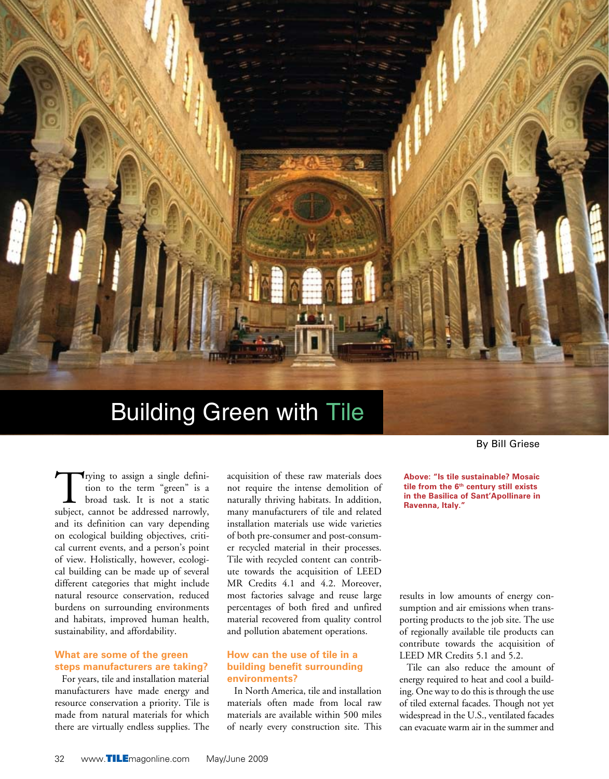

# Building Green with Tile

Trying to assign a single definition to the term "green" is a broad task. It is not a static subject, cannot be addressed narrowly, and its definition can vary depending on ecological building objectives, critical current events, and a person's point of view. Holistically, however, ecological building can be made up of several different categories that might include natural resource conservation, reduced burdens on surrounding environments and habitats, improved human health, sustainability, and affordability.

### **What are some of the green steps manufacturers are taking?**

For years, tile and installation material manufacturers have made energy and resource conservation a priority. Tile is made from natural materials for which there are virtually endless supplies. The acquisition of these raw materials does not require the intense demolition of naturally thriving habitats. In addition, many manufacturers of tile and related installation materials use wide varieties of both pre-consumer and post-consumer recycled material in their processes. Tile with recycled content can contribute towards the acquisition of LEED MR Credits 4.1 and 4.2. Moreover, most factories salvage and reuse large percentages of both fired and unfired material recovered from quality control and pollution abatement operations.

#### **How can the use of tile in a building benefit surrounding environments?**

In North America, tile and installation materials often made from local raw materials are available within 500 miles of nearly every construction site. This By Bill Griese

**Above: "Is tile sustainable? Mosaic tile from the 6th century still exists in the Basilica of Sant'Apollinare in Ravenna, Italy."**

results in low amounts of energy consumption and air emissions when transporting products to the job site. The use of regionally available tile products can contribute towards the acquisition of LEED MR Credits 5.1 and 5.2.

Tile can also reduce the amount of energy required to heat and cool a building. One way to do this is through the use of tiled external facades. Though not yet widespread in the U.S., ventilated facades can evacuate warm air in the summer and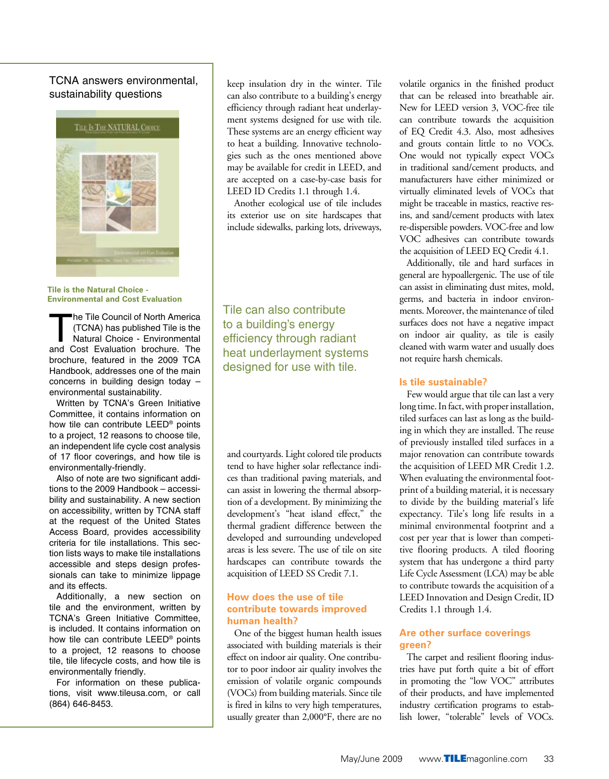# TCNA answers environmental, sustainability questions



**Tile is the Natural Choice - Environmental and Cost Evaluation**

he Tile Council of North America<br>
(TCNA) has published Tile is the<br>
Natural Choice - Environmental<br>
Anatural Choice - Environmental<br>
Cost Evolucion broadway (TCNA) has published Tile is the and Cost Evaluation brochure. The brochure, featured in the 2009 TCA Handbook, addresses one of the main concerns in building design today – environmental sustainability.

Written by TCNA's Green Initiative Committee, it contains information on how tile can contribute LEED® points to a project, 12 reasons to choose tile, an independent life cycle cost analysis of 17 floor coverings, and how tile is environmentally-friendly.

Also of note are two significant additions to the 2009 Handbook – accessibility and sustainability. A new section on accessibility, written by TCNA staff at the request of the United States Access Board, provides accessibility criteria for tile installations. This section lists ways to make tile installations accessible and steps design professionals can take to minimize lippage and its effects.

Additionally, a new section on tile and the environment, written by TCNA's Green Initiative Committee, is included. It contains information on how tile can contribute LEED® points to a project, 12 reasons to choose tile, tile lifecycle costs, and how tile is environmentally friendly.

For information on these publications, visit www.tileusa.com, or call (864) 646-8453.

keep insulation dry in the winter. Tile can also contribute to a building's energy efficiency through radiant heat underlayment systems designed for use with tile. These systems are an energy efficient way to heat a building. Innovative technologies such as the ones mentioned above may be available for credit in LEED, and are accepted on a case-by-case basis for LEED ID Credits 1.1 through 1.4.

Another ecological use of tile includes its exterior use on site hardscapes that include sidewalks, parking lots, driveways,

Tile can also contribute to a building's energy efficiency through radiant heat underlayment systems designed for use with tile.

and courtyards. Light colored tile products tend to have higher solar reflectance indices than traditional paving materials, and can assist in lowering the thermal absorption of a development. By minimizing the development's "heat island effect," the thermal gradient difference between the developed and surrounding undeveloped areas is less severe. The use of tile on site hardscapes can contribute towards the acquisition of LEED SS Credit 7.1.

#### **How does the use of tile contribute towards improved human health?**

One of the biggest human health issues associated with building materials is their effect on indoor air quality. One contributor to poor indoor air quality involves the emission of volatile organic compounds (VOCs) from building materials. Since tile is fired in kilns to very high temperatures, usually greater than 2,000°F, there are no

volatile organics in the finished product that can be released into breathable air. New for LEED version 3, VOC-free tile can contribute towards the acquisition of EQ Credit 4.3. Also, most adhesives and grouts contain little to no VOCs. One would not typically expect VOCs in traditional sand/cement products, and manufacturers have either minimized or virtually eliminated levels of VOCs that might be traceable in mastics, reactive resins, and sand/cement products with latex re-dispersible powders. VOC-free and low VOC adhesives can contribute towards the acquisition of LEED EQ Credit 4.1.

Additionally, tile and hard surfaces in general are hypoallergenic. The use of tile can assist in eliminating dust mites, mold, germs, and bacteria in indoor environments. Moreover, the maintenance of tiled surfaces does not have a negative impact on indoor air quality, as tile is easily cleaned with warm water and usually does not require harsh chemicals.

#### **Is tile sustainable?**

Few would argue that tile can last a very long time. In fact, with proper installation, tiled surfaces can last as long as the building in which they are installed. The reuse of previously installed tiled surfaces in a major renovation can contribute towards the acquisition of LEED MR Credit 1.2. When evaluating the environmental footprint of a building material, it is necessary to divide by the building material's life expectancy. Tile's long life results in a minimal environmental footprint and a cost per year that is lower than competitive flooring products. A tiled flooring system that has undergone a third party Life Cycle Assessment (LCA) may be able to contribute towards the acquisition of a LEED Innovation and Design Credit, ID Credits 1.1 through 1.4.

#### **Are other surface coverings green?**

The carpet and resilient flooring industries have put forth quite a bit of effort in promoting the "low VOC" attributes of their products, and have implemented industry certification programs to establish lower, "tolerable" levels of VOCs.